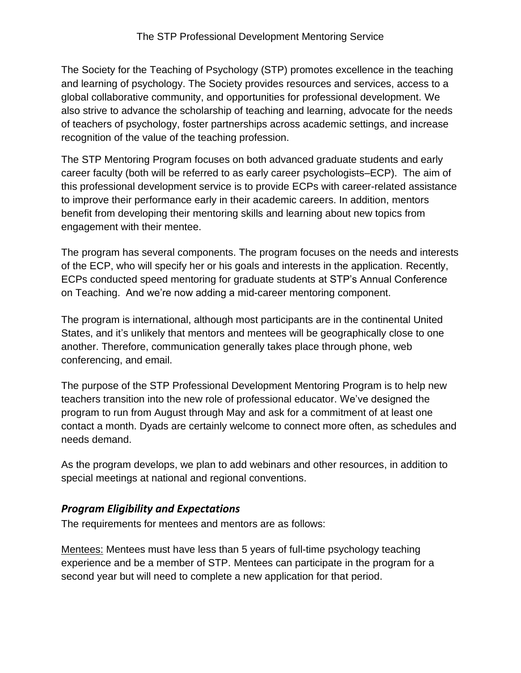The Society for the Teaching of Psychology (STP) promotes excellence in the teaching and learning of psychology. The Society provides resources and services, access to a global collaborative community, and opportunities for professional development. We also strive to advance the scholarship of teaching and learning, advocate for the needs of teachers of psychology, foster partnerships across academic settings, and increase recognition of the value of the teaching profession.

The STP Mentoring Program focuses on both advanced graduate students and early career faculty (both will be referred to as early career psychologists–ECP). The aim of this professional development service is to provide ECPs with career-related assistance to improve their performance early in their academic careers. In addition, mentors benefit from developing their mentoring skills and learning about new topics from engagement with their mentee.

The program has several components. The program focuses on the needs and interests of the ECP, who will specify her or his goals and interests in the application. Recently, ECPs conducted speed mentoring for graduate students at STP's Annual Conference on Teaching. And we're now adding a mid-career mentoring component.

The program is international, although most participants are in the continental United States, and it's unlikely that mentors and mentees will be geographically close to one another. Therefore, communication generally takes place through phone, web conferencing, and email.

The purpose of the STP Professional Development Mentoring Program is to help new teachers transition into the new role of professional educator. We've designed the program to run from August through May and ask for a commitment of at least one contact a month. Dyads are certainly welcome to connect more often, as schedules and needs demand.

As the program develops, we plan to add webinars and other resources, in addition to special meetings at national and regional conventions.

## *Program Eligibility and Expectations*

The requirements for mentees and mentors are as follows:

Mentees: Mentees must have less than 5 years of full-time psychology teaching experience and be a member of STP. Mentees can participate in the program for a second year but will need to complete a new application for that period.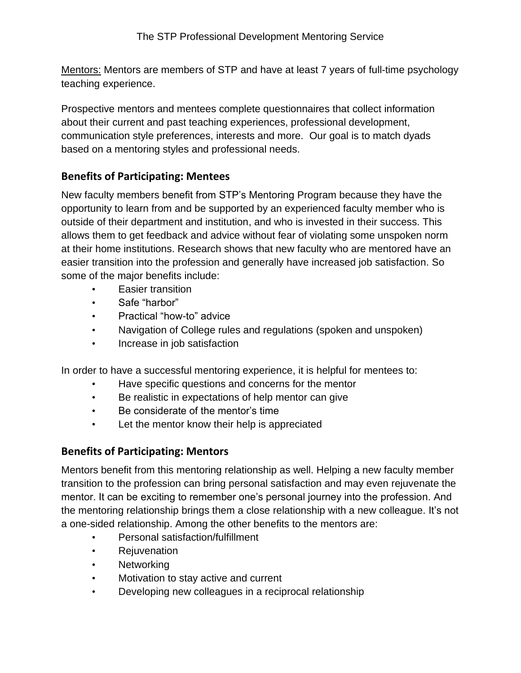Mentors: Mentors are members of STP and have at least 7 years of full-time psychology teaching experience.

Prospective mentors and mentees complete questionnaires that collect information about their current and past teaching experiences, professional development, communication style preferences, interests and more. Our goal is to match dyads based on a mentoring styles and professional needs.

## **Benefits of Participating: Mentees**

New faculty members benefit from STP's Mentoring Program because they have the opportunity to learn from and be supported by an experienced faculty member who is outside of their department and institution, and who is invested in their success. This allows them to get feedback and advice without fear of violating some unspoken norm at their home institutions. Research shows that new faculty who are mentored have an easier transition into the profession and generally have increased job satisfaction. So some of the major benefits include:

- Easier transition
- Safe "harbor"
- Practical "how-to" advice
- Navigation of College rules and regulations (spoken and unspoken)
- Increase in job satisfaction

In order to have a successful mentoring experience, it is helpful for mentees to:

- Have specific questions and concerns for the mentor
- Be realistic in expectations of help mentor can give
- Be considerate of the mentor's time
- Let the mentor know their help is appreciated

## **Benefits of Participating: Mentors**

Mentors benefit from this mentoring relationship as well. Helping a new faculty member transition to the profession can bring personal satisfaction and may even rejuvenate the mentor. It can be exciting to remember one's personal journey into the profession. And the mentoring relationship brings them a close relationship with a new colleague. It's not a one-sided relationship. Among the other benefits to the mentors are:

- Personal satisfaction/fulfillment
- Rejuvenation
- Networking
- Motivation to stay active and current
- Developing new colleagues in a reciprocal relationship